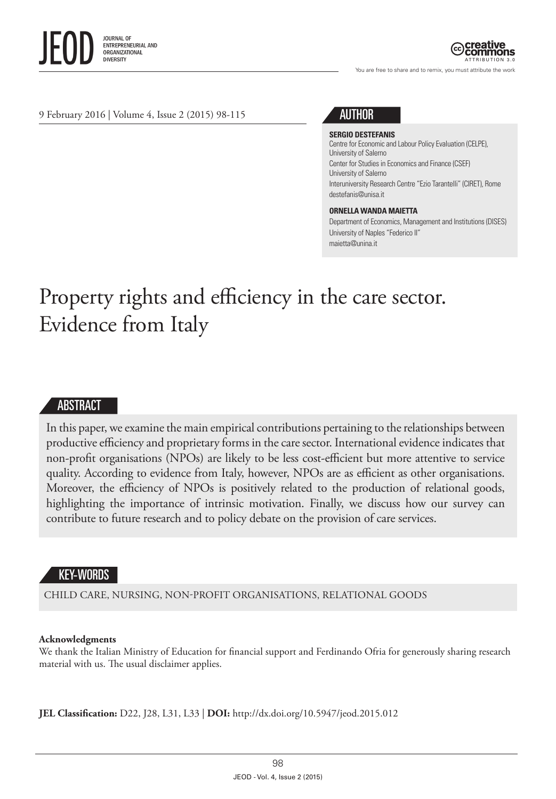

ATTRIBUTION 3.0

You are free to share and to remix, you must attribute the work

9 February 2016 | Volume 4, Issue 2 (2015) 98-115



#### **SERGIO DESTEFANIS**

Centre for Economic and Labour Policy Evaluation (CELPE), University of Salerno [Center for Studies in Economics and Finance](https://www.google.it/url?sa=t&rct=j&q=&esrc=s&source=web&cd=2&cad=rja&uact=8&ved=0ahUKEwj68qKNvLjKAhWGGQ8KHdzEAOkQFggrMAE&url=http%3A%2F%2Fwww.csef.it%2FAbout&usg=AFQjCNH_Bxn-L05LNmz8CfXslOYVq2EiBA&sig2=Pg8SN_s0FpEoWDXnAoviYQ) (CSEF) University of Salerno Interuniversity Research Centre "Ezio Tarantelli" (CIRET), Rome destefanis@unisa.it

#### **ORNELLA WANDA MAIETTA**

Department of Economics, Management and Institutions (DISES) University of Naples "Federico II" maietta@unina.it

# Property rights and efficiency in the care sector. Evidence from Italy

#### ABSTRACT

In this paper, we examine the main empirical contributions pertaining to the relationships between productive efficiency and proprietary forms in the care sector. International evidence indicates that non-profit organisations (NPOs) are likely to be less cost-efficient but more attentive to service quality. According to evidence from Italy, however, NPOs are as efficient as other organisations. Moreover, the efficiency of NPOs is positively related to the production of relational goods, highlighting the importance of intrinsic motivation. Finally, we discuss how our survey can contribute to future research and to policy debate on the provision of care services.

## KEY-WORDS

CHILD CARE, NURSING, NON-PROFIT ORGANISATIONS, RELATIONAL GOODS

#### **Acknowledgments**

We thank the Italian Ministry of Education for financial support and Ferdinando Ofria for generously sharing research material with us. The usual disclaimer applies.

**JEL Classification:** D22, J28, L31, L33 | **DOI:** <http://dx.doi.org/10.5947/jeod.2015.012>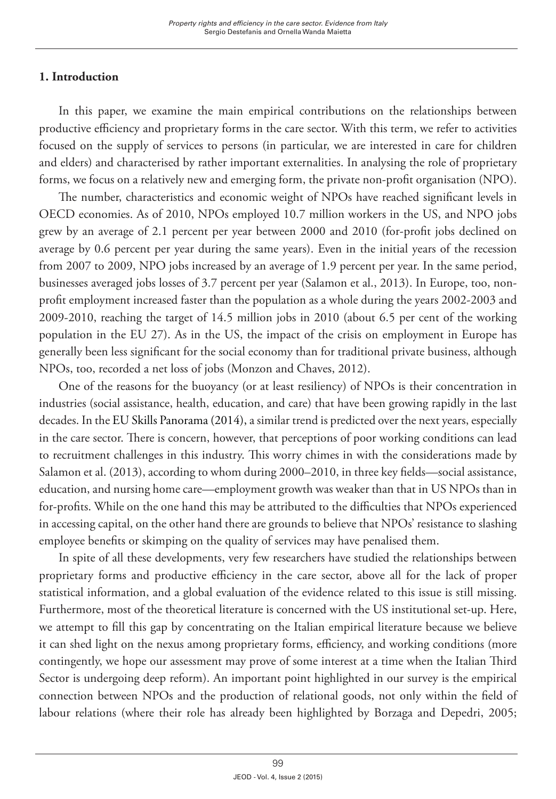# **1. Introduction**

In this paper, we examine the main empirical contributions on the relationships between productive efficiency and proprietary forms in the care sector. With this term, we refer to activities focused on the supply of services to persons (in particular, we are interested in care for children and elders) and characterised by rather important externalities. In analysing the role of proprietary forms, we focus on a relatively new and emerging form, the private non-profit organisation (NPO).

The number, characteristics and economic weight of NPOs have reached significant levels in OECD economies. As of 2010, NPOs employed 10.7 million workers in the US, and NPO jobs grew by an average of 2.1 percent per year between 2000 and 2010 (for-profit jobs declined on average by 0.6 percent per year during the same years). Even in the initial years of the recession from 2007 to 2009, NPO jobs increased by an average of 1.9 percent per year. In the same period, businesses averaged jobs losses of 3.7 percent per year (Salamon et al., 2013). In Europe, too, nonprofit employment increased faster than the population as a whole during the years 2002-2003 and 2009-2010, reaching the target of 14.5 million jobs in 2010 (about 6.5 per cent of the working population in the EU 27). As in the US, the impact of the crisis on employment in Europe has generally been less significant for the social economy than for traditional private business, although NPOs, too, recorded a net loss of jobs (Monzon and Chaves, 2012).

One of the reasons for the buoyancy (or at least resiliency) of NPOs is their concentration in industries (social assistance, health, education, and care) that have been growing rapidly in the last decades. In the EU Skills Panorama (2014), a similar trend is predicted over the next years, especially in the care sector. There is concern, however, that perceptions of poor working conditions can lead to recruitment challenges in this industry. This worry chimes in with the considerations made by Salamon et al. (2013), according to whom during 2000–2010, in three key fields—social assistance, education, and nursing home care—employment growth was weaker than that in US NPOs than in for-profits. While on the one hand this may be attributed to the difficulties that NPOs experienced in accessing capital, on the other hand there are grounds to believe that NPOs' resistance to slashing employee benefits or skimping on the quality of services may have penalised them.

In spite of all these developments, very few researchers have studied the relationships between proprietary forms and productive efficiency in the care sector, above all for the lack of proper statistical information, and a global evaluation of the evidence related to this issue is still missing. Furthermore, most of the theoretical literature is concerned with the US institutional set-up. Here, we attempt to fill this gap by concentrating on the Italian empirical literature because we believe it can shed light on the nexus among proprietary forms, efficiency, and working conditions (more contingently, we hope our assessment may prove of some interest at a time when the Italian Third Sector is undergoing deep reform). An important point highlighted in our survey is the empirical connection between NPOs and the production of relational goods, not only within the field of labour relations (where their role has already been highlighted by Borzaga and Depedri, 2005;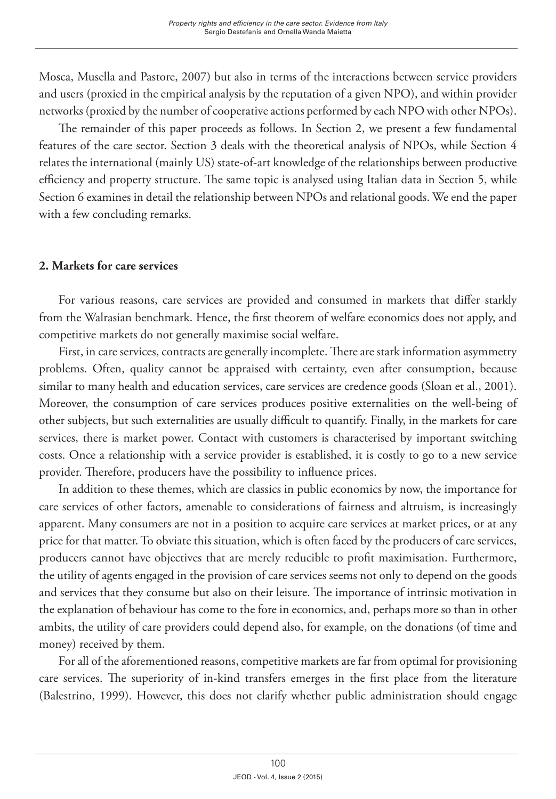Mosca, Musella and Pastore, 2007) but also in terms of the interactions between service providers and users (proxied in the empirical analysis by the reputation of a given NPO), and within provider networks (proxied by the number of cooperative actions performed by each NPO with other NPOs).

The remainder of this paper proceeds as follows. In Section 2, we present a few fundamental features of the care sector. Section 3 deals with the theoretical analysis of NPOs, while Section 4 relates the international (mainly US) state-of-art knowledge of the relationships between productive efficiency and property structure. The same topic is analysed using Italian data in Section 5, while Section 6 examines in detail the relationship between NPOs and relational goods. We end the paper with a few concluding remarks.

## **2. Markets for care services**

For various reasons, care services are provided and consumed in markets that differ starkly from the Walrasian benchmark. Hence, the first theorem of welfare economics does not apply, and competitive markets do not generally maximise social welfare.

First, in care services, contracts are generally incomplete. There are stark information asymmetry problems. Often, quality cannot be appraised with certainty, even after consumption, because similar to many health and education services, care services are credence goods (Sloan et al., 2001). Moreover, the consumption of care services produces positive externalities on the well-being of other subjects, but such externalities are usually difficult to quantify. Finally, in the markets for care services, there is market power. Contact with customers is characterised by important switching costs. Once a relationship with a service provider is established, it is costly to go to a new service provider. Therefore, producers have the possibility to influence prices.

In addition to these themes, which are classics in public economics by now, the importance for care services of other factors, amenable to considerations of fairness and altruism, is increasingly apparent. Many consumers are not in a position to acquire care services at market prices, or at any price for that matter. To obviate this situation, which is often faced by the producers of care services, producers cannot have objectives that are merely reducible to profit maximisation. Furthermore, the utility of agents engaged in the provision of care services seems not only to depend on the goods and services that they consume but also on their leisure. The importance of intrinsic motivation in the explanation of behaviour has come to the fore in economics, and, perhaps more so than in other ambits, the utility of care providers could depend also, for example, on the donations (of time and money) received by them.

For all of the aforementioned reasons, competitive markets are far from optimal for provisioning care services. The superiority of in-kind transfers emerges in the first place from the literature (Balestrino, 1999). However, this does not clarify whether public administration should engage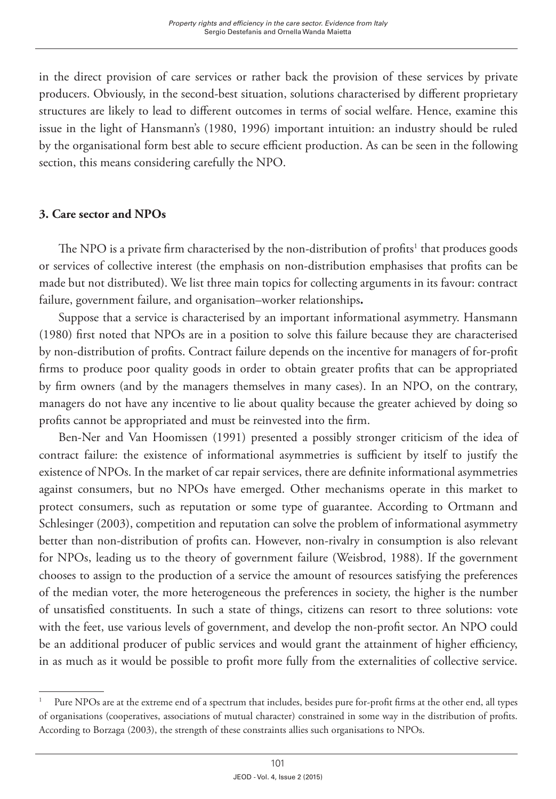in the direct provision of care services or rather back the provision of these services by private producers. Obviously, in the second-best situation, solutions characterised by different proprietary structures are likely to lead to different outcomes in terms of social welfare. Hence, examine this issue in the light of Hansmann's (1980, 1996) important intuition: an industry should be ruled by the organisational form best able to secure efficient production. As can be seen in the following section, this means considering carefully the NPO.

# **3. Care sector and NPOs**

The NPO is a private firm characterised by the non-distribution of profits $^1$  that produces goods or services of collective interest (the emphasis on non-distribution emphasises that profits can be made but not distributed). We list three main topics for collecting arguments in its favour: contract failure, government failure, and organisation–worker relationships**.**

Suppose that a service is characterised by an important informational asymmetry. Hansmann (1980) first noted that NPOs are in a position to solve this failure because they are characterised by non-distribution of profits. Contract failure depends on the incentive for managers of for-profit firms to produce poor quality goods in order to obtain greater profits that can be appropriated by firm owners (and by the managers themselves in many cases). In an NPO, on the contrary, managers do not have any incentive to lie about quality because the greater achieved by doing so profits cannot be appropriated and must be reinvested into the firm.

Ben-Ner and Van Hoomissen (1991) presented a possibly stronger criticism of the idea of contract failure: the existence of informational asymmetries is sufficient by itself to justify the existence of NPOs. In the market of car repair services, there are definite informational asymmetries against consumers, but no NPOs have emerged. Other mechanisms operate in this market to protect consumers, such as reputation or some type of guarantee. According to Ortmann and Schlesinger (2003), competition and reputation can solve the problem of informational asymmetry better than non-distribution of profits can. However, non-rivalry in consumption is also relevant for NPOs, leading us to the theory of government failure (Weisbrod, 1988). If the government chooses to assign to the production of a service the amount of resources satisfying the preferences of the median voter, the more heterogeneous the preferences in society, the higher is the number of unsatisfied constituents. In such a state of things, citizens can resort to three solutions: vote with the feet, use various levels of government, and develop the non-profit sector. An NPO could be an additional producer of public services and would grant the attainment of higher efficiency, in as much as it would be possible to profit more fully from the externalities of collective service.

<sup>1</sup> Pure NPOs are at the extreme end of a spectrum that includes, besides pure for-profit firms at the other end, all types of organisations (cooperatives, associations of mutual character) constrained in some way in the distribution of profits. According to Borzaga (2003), the strength of these constraints allies such organisations to NPOs.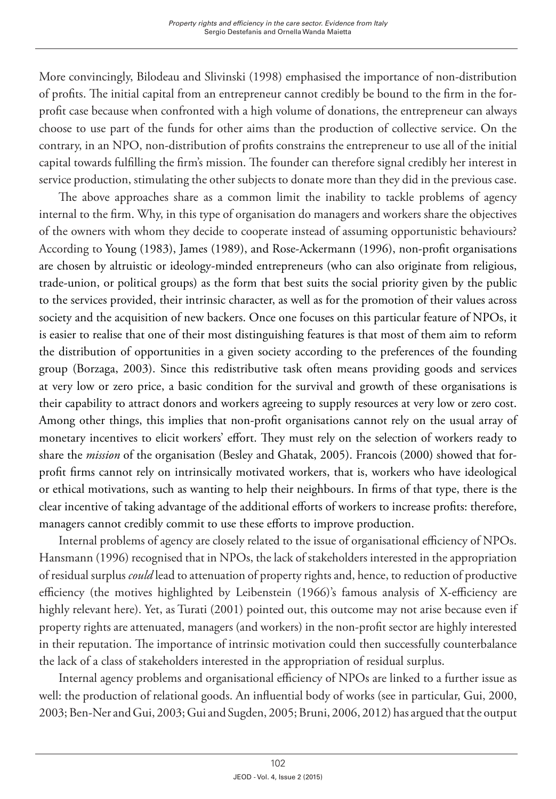More convincingly, Bilodeau and Slivinski (1998) emphasised the importance of non-distribution of profits. The initial capital from an entrepreneur cannot credibly be bound to the firm in the forprofit case because when confronted with a high volume of donations, the entrepreneur can always choose to use part of the funds for other aims than the production of collective service. On the contrary, in an NPO, non-distribution of profits constrains the entrepreneur to use all of the initial capital towards fulfilling the firm's mission. The founder can therefore signal credibly her interest in service production, stimulating the other subjects to donate more than they did in the previous case.

The above approaches share as a common limit the inability to tackle problems of agency internal to the firm. Why, in this type of organisation do managers and workers share the objectives of the owners with whom they decide to cooperate instead of assuming opportunistic behaviours? According to Young (1983), James (1989), and Rose-Ackermann (1996), non-profit organisations are chosen by altruistic or ideology-minded entrepreneurs (who can also originate from religious, trade-union, or political groups) as the form that best suits the social priority given by the public to the services provided, their intrinsic character, as well as for the promotion of their values across society and the acquisition of new backers. Once one focuses on this particular feature of NPOs, it is easier to realise that one of their most distinguishing features is that most of them aim to reform the distribution of opportunities in a given society according to the preferences of the founding group (Borzaga, 2003). Since this redistributive task often means providing goods and services at very low or zero price, a basic condition for the survival and growth of these organisations is their capability to attract donors and workers agreeing to supply resources at very low or zero cost. Among other things, this implies that non-profit organisations cannot rely on the usual array of monetary incentives to elicit workers' effort. They must rely on the selection of workers ready to share the *mission* of the organisation (Besley and Ghatak, 2005). Francois (2000) showed that forprofit firms cannot rely on intrinsically motivated workers, that is, workers who have ideological or ethical motivations, such as wanting to help their neighbours. In firms of that type, there is the clear incentive of taking advantage of the additional efforts of workers to increase profits: therefore, managers cannot credibly commit to use these efforts to improve production.

Internal problems of agency are closely related to the issue of organisational efficiency of NPOs. Hansmann (1996) recognised that in NPOs, the lack of stakeholders interested in the appropriation of residual surplus *could* lead to attenuation of property rights and, hence, to reduction of productive efficiency (the motives highlighted by Leibenstein (1966)'s famous analysis of X-efficiency are highly relevant here). Yet, as Turati (2001) pointed out, this outcome may not arise because even if property rights are attenuated, managers (and workers) in the non-profit sector are highly interested in their reputation. The importance of intrinsic motivation could then successfully counterbalance the lack of a class of stakeholders interested in the appropriation of residual surplus.

Internal agency problems and organisational efficiency of NPOs are linked to a further issue as well: the production of relational goods. An influential body of works (see in particular, Gui, 2000, 2003; Ben-Ner and Gui, 2003; Gui and Sugden, 2005; Bruni, 2006, 2012) has argued that the output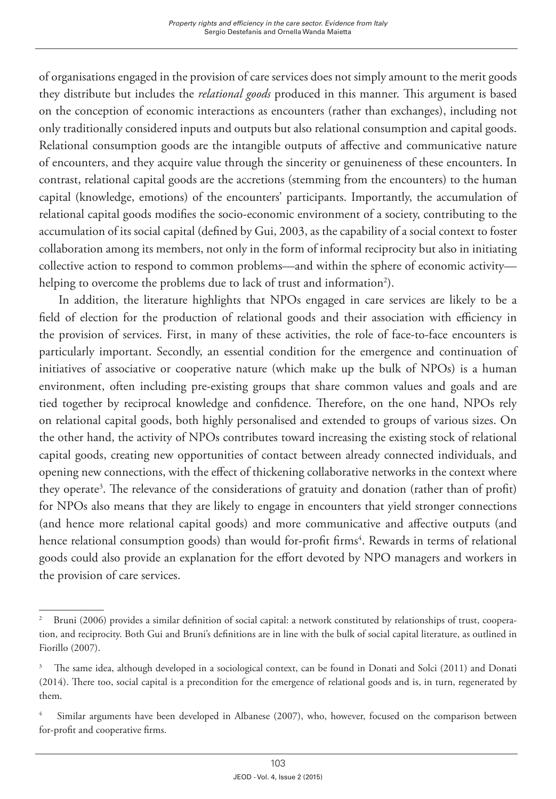of organisations engaged in the provision of care services does not simply amount to the merit goods they distribute but includes the *relational goods* produced in this manner. This argument is based on the conception of economic interactions as encounters (rather than exchanges), including not only traditionally considered inputs and outputs but also relational consumption and capital goods. Relational consumption goods are the intangible outputs of affective and communicative nature of encounters, and they acquire value through the sincerity or genuineness of these encounters. In contrast, relational capital goods are the accretions (stemming from the encounters) to the human capital (knowledge, emotions) of the encounters' participants. Importantly, the accumulation of relational capital goods modifies the socio-economic environment of a society, contributing to the accumulation of its social capital (defined by Gui, 2003, as the capability of a social context to foster collaboration among its members, not only in the form of informal reciprocity but also in initiating collective action to respond to common problems—and within the sphere of economic activity helping to overcome the problems due to lack of trust and information $^2$ ).

In addition, the literature highlights that NPOs engaged in care services are likely to be a field of election for the production of relational goods and their association with efficiency in the provision of services. First, in many of these activities, the role of face-to-face encounters is particularly important. Secondly, an essential condition for the emergence and continuation of initiatives of associative or cooperative nature (which make up the bulk of NPOs) is a human environment, often including pre-existing groups that share common values and goals and are tied together by reciprocal knowledge and confidence. Therefore, on the one hand, NPOs rely on relational capital goods, both highly personalised and extended to groups of various sizes. On the other hand, the activity of NPOs contributes toward increasing the existing stock of relational capital goods, creating new opportunities of contact between already connected individuals, and opening new connections, with the effect of thickening collaborative networks in the context where they operate<sup>3</sup>. The relevance of the considerations of gratuity and donation (rather than of profit) for NPOs also means that they are likely to engage in encounters that yield stronger connections (and hence more relational capital goods) and more communicative and affective outputs (and hence relational consumption goods) than would for-profit firms<sup>4</sup>. Rewards in terms of relational goods could also provide an explanation for the effort devoted by NPO managers and workers in the provision of care services.

<sup>2</sup> Bruni (2006) provides a similar definition of social capital: a network constituted by relationships of trust, cooperation, and reciprocity. Both Gui and Bruni's definitions are in line with the bulk of social capital literature, as outlined in Fiorillo (2007).

<sup>3</sup> The same idea, although developed in a sociological context, can be found in Donati and Solci (2011) and Donati (2014). There too, social capital is a precondition for the emergence of relational goods and is, in turn, regenerated by them.

<sup>4</sup> Similar arguments have been developed in Albanese (2007), who, however, focused on the comparison between for-profit and cooperative firms.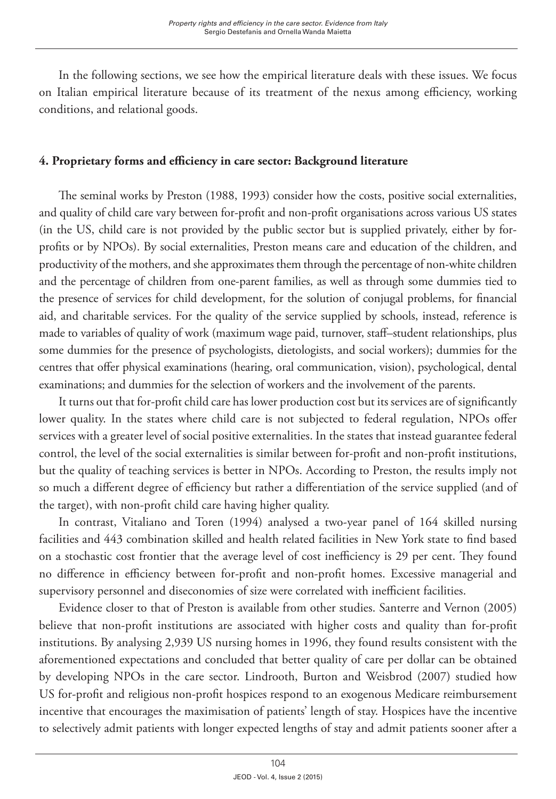In the following sections, we see how the empirical literature deals with these issues. We focus on Italian empirical literature because of its treatment of the nexus among efficiency, working conditions, and relational goods.

# **4. Proprietary forms and efficiency in care sector: Background literature**

The seminal works by Preston (1988, 1993) consider how the costs, positive social externalities, and quality of child care vary between for-profit and non-profit organisations across various US states (in the US, child care is not provided by the public sector but is supplied privately, either by forprofits or by NPOs). By social externalities, Preston means care and education of the children, and productivity of the mothers, and she approximates them through the percentage of non-white children and the percentage of children from one-parent families, as well as through some dummies tied to the presence of services for child development, for the solution of conjugal problems, for financial aid, and charitable services. For the quality of the service supplied by schools, instead, reference is made to variables of quality of work (maximum wage paid, turnover, staff–student relationships, plus some dummies for the presence of psychologists, dietologists, and social workers); dummies for the centres that offer physical examinations (hearing, oral communication, vision), psychological, dental examinations; and dummies for the selection of workers and the involvement of the parents.

It turns out that for-profit child care has lower production cost but its services are of significantly lower quality. In the states where child care is not subjected to federal regulation, NPOs offer services with a greater level of social positive externalities. In the states that instead guarantee federal control, the level of the social externalities is similar between for-profit and non-profit institutions, but the quality of teaching services is better in NPOs. According to Preston, the results imply not so much a different degree of efficiency but rather a differentiation of the service supplied (and of the target), with non-profit child care having higher quality.

In contrast, Vitaliano and Toren (1994) analysed a two-year panel of 164 skilled nursing facilities and 443 combination skilled and health related facilities in New York state to find based on a stochastic cost frontier that the average level of cost inefficiency is 29 per cent. They found no difference in efficiency between for-profit and non-profit homes. Excessive managerial and supervisory personnel and diseconomies of size were correlated with inefficient facilities.

Evidence closer to that of Preston is available from other studies. Santerre and Vernon (2005) believe that non-profit institutions are associated with higher costs and quality than for-profit institutions. By analysing 2,939 US nursing homes in 1996, they found results consistent with the aforementioned expectations and concluded that better quality of care per dollar can be obtained by developing NPOs in the care sector. Lindrooth, Burton and Weisbrod (2007) studied how US for-profit and religious non-profit hospices respond to an exogenous Medicare reimbursement incentive that encourages the maximisation of patients' length of stay. Hospices have the incentive to selectively admit patients with longer expected lengths of stay and admit patients sooner after a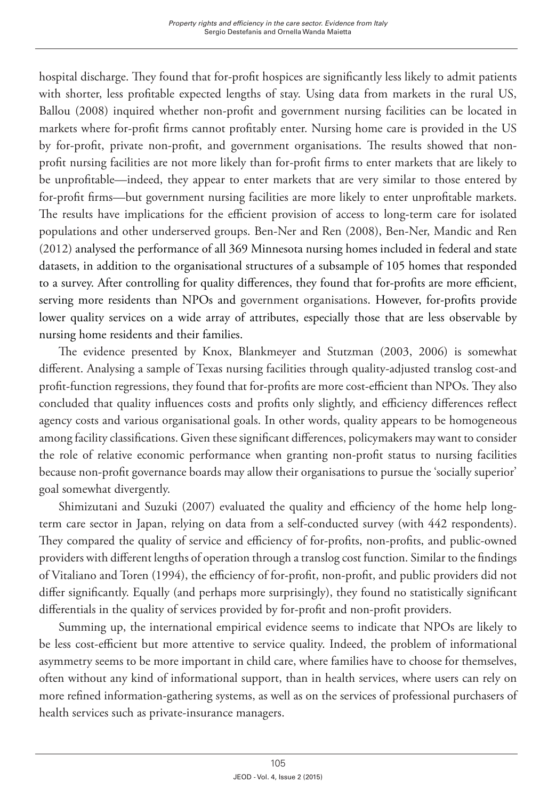hospital discharge. They found that for-profit hospices are significantly less likely to admit patients with shorter, less profitable expected lengths of stay. Using data from markets in the rural US, Ballou (2008) inquired whether non-profit and government nursing facilities can be located in markets where for-profit firms cannot profitably enter. Nursing home care is provided in the US by for-profit, private non-profit, and government organisations. The results showed that nonprofit nursing facilities are not more likely than for-profit firms to enter markets that are likely to be unprofitable—indeed, they appear to enter markets that are very similar to those entered by for-profit firms—but government nursing facilities are more likely to enter unprofitable markets. The results have implications for the efficient provision of access to long-term care for isolated populations and other underserved groups. Ben-Ner and Ren (2008), Ben-Ner, Mandic and Ren (2012) analysed the performance of all 369 Minnesota nursing homes included in federal and state datasets, in addition to the organisational structures of a subsample of 105 homes that responded to a survey. After controlling for quality differences, they found that for-profits are more efficient, serving more residents than NPOs and government organisations. However, for-profits provide lower quality services on a wide array of attributes, especially those that are less observable by nursing home residents and their families.

The evidence presented by Knox, Blankmeyer and Stutzman (2003, 2006) is somewhat different. Analysing a sample of Texas nursing facilities through quality-adjusted translog cost-and profit-function regressions, they found that for-profits are more cost-efficient than NPOs. They also concluded that quality influences costs and profits only slightly, and efficiency differences reflect agency costs and various organisational goals. In other words, quality appears to be homogeneous among facility classifications. Given these significant differences, policymakers may want to consider the role of relative economic performance when granting non-profit status to nursing facilities because non-profit governance boards may allow their organisations to pursue the 'socially superior' goal somewhat divergently.

Shimizutani and Suzuki (2007) evaluated the quality and efficiency of the home help longterm care sector in Japan, relying on data from a self-conducted survey (with 442 respondents). They compared the quality of service and efficiency of for-profits, non-profits, and public-owned providers with different lengths of operation through a translog cost function. Similar to the findings of Vitaliano and Toren (1994), the efficiency of for-profit, non-profit, and public providers did not differ significantly. Equally (and perhaps more surprisingly), they found no statistically significant differentials in the quality of services provided by for-profit and non-profit providers.

Summing up, the international empirical evidence seems to indicate that NPOs are likely to be less cost-efficient but more attentive to service quality. Indeed, the problem of informational asymmetry seems to be more important in child care, where families have to choose for themselves, often without any kind of informational support, than in health services, where users can rely on more refined information-gathering systems, as well as on the services of professional purchasers of health services such as private-insurance managers.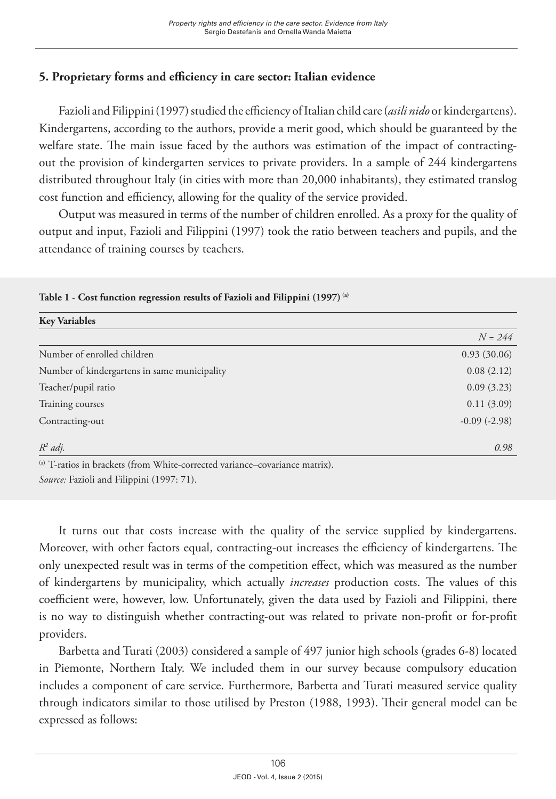# **5. Proprietary forms and efficiency in care sector: Italian evidence**

Fazioli and Filippini (1997) studied the efficiency of Italian child care (*asili nido* or kindergartens). Kindergartens, according to the authors, provide a merit good, which should be guaranteed by the welfare state. The main issue faced by the authors was estimation of the impact of contractingout the provision of kindergarten services to private providers. In a sample of 244 kindergartens distributed throughout Italy (in cities with more than 20,000 inhabitants), they estimated translog cost function and efficiency, allowing for the quality of the service provided.

Output was measured in terms of the number of children enrolled. As a proxy for the quality of output and input, Fazioli and Filippini (1997) took the ratio between teachers and pupils, and the attendance of training courses by teachers.

| <b>Key Variables</b>                                                                                                                                                                                                                                                                               |                   |
|----------------------------------------------------------------------------------------------------------------------------------------------------------------------------------------------------------------------------------------------------------------------------------------------------|-------------------|
|                                                                                                                                                                                                                                                                                                    | $N = 244$         |
| Number of enrolled children                                                                                                                                                                                                                                                                        | 0.93(30.06)       |
| Number of kindergartens in same municipality                                                                                                                                                                                                                                                       | 0.08(2.12)        |
| Teacher/pupil ratio                                                                                                                                                                                                                                                                                | 0.09(3.23)        |
| Training courses                                                                                                                                                                                                                                                                                   | 0.11(3.09)        |
| Contracting-out                                                                                                                                                                                                                                                                                    | $-0.09$ $(-2.98)$ |
| $R^2$ adj.                                                                                                                                                                                                                                                                                         | 0.98              |
| (a) $\mathbf{T}$ and $\mathbf{I}$ and $\mathbf{I}$ and $\mathbf{I}$ are $\mathbf{I}$ and $\mathbf{I}$ and $\mathbf{I}$ and $\mathbf{I}$ and $\mathbf{I}$ and $\mathbf{I}$ and $\mathbf{I}$ and $\mathbf{I}$ and $\mathbf{I}$ and $\mathbf{I}$ and $\mathbf{I}$ and $\mathbf{I}$ and $\mathbf{I}$ a |                   |

#### **Table 1 - Cost function regression results of Fazioli and Filippini (1997) (a)**

T-ratios in brackets (from White-corrected variance–covariance matrix). *Source:* Fazioli and Filippini (1997: 71).

It turns out that costs increase with the quality of the service supplied by kindergartens. Moreover, with other factors equal, contracting-out increases the efficiency of kindergartens. The only unexpected result was in terms of the competition effect, which was measured as the number of kindergartens by municipality, which actually *increases* production costs. The values of this coefficient were, however, low. Unfortunately, given the data used by Fazioli and Filippini, there is no way to distinguish whether contracting-out was related to private non-profit or for-profit providers.

Barbetta and Turati (2003) considered a sample of 497 junior high schools (grades 6-8) located in Piemonte, Northern Italy. We included them in our survey because compulsory education includes a component of care service. Furthermore, Barbetta and Turati measured service quality through indicators similar to those utilised by Preston (1988, 1993). Their general model can be expressed as follows: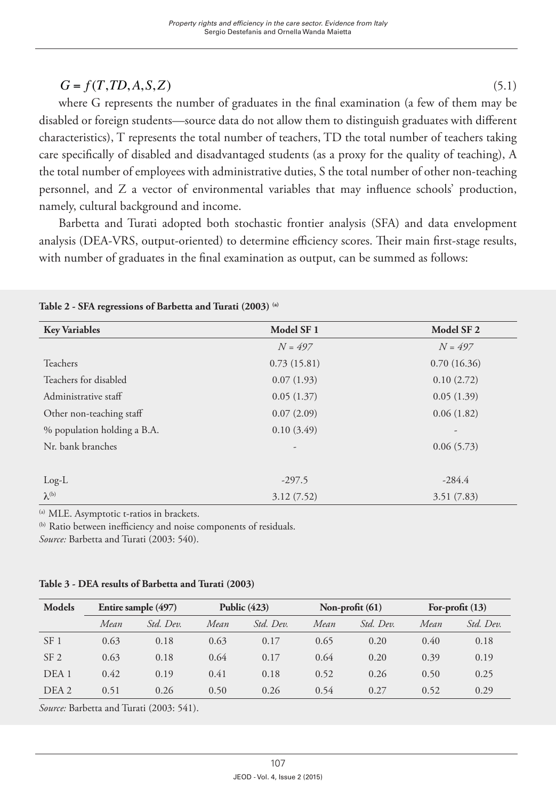# $G = f(T, TD, A, S, Z)$  (5.1)

where G represents the number of graduates in the final examination (a few of them may be disabled or foreign students—source data do not allow them to distinguish graduates with different characteristics), T represents the total number of teachers, TD the total number of teachers taking care specifically of disabled and disadvantaged students (as a proxy for the quality of teaching), A the total number of employees with administrative duties, S the total number of other non-teaching personnel, and Z a vector of environmental variables that may influence schools' production, namely, cultural background and income.

Barbetta and Turati adopted both stochastic frontier analysis (SFA) and data envelopment analysis (DEA-VRS, output-oriented) to determine efficiency scores. Their main first-stage results, with number of graduates in the final examination as output, can be summed as follows:

| <b>Key Variables</b>        | Model SF <sub>1</sub> | Model SF <sub>2</sub> |
|-----------------------------|-----------------------|-----------------------|
|                             | $N = 497$             | $N = 497$             |
| Teachers                    | 0.73(15.81)           | 0.70(16.36)           |
| Teachers for disabled       | 0.07(1.93)            | 0.10(2.72)            |
| Administrative staff        | 0.05(1.37)            | 0.05(1.39)            |
| Other non-teaching staff    | 0.07(2.09)            | 0.06(1.82)            |
| % population holding a B.A. | 0.10(3.49)            |                       |
| Nr. bank branches           |                       | 0.06(5.73)            |
|                             |                       |                       |
| $Log-L$                     | $-297.5$              | $-284.4$              |
| $\lambda^{(b)}$             | 3.12(7.52)            | 3.51(7.83)            |

**Table 2 - SFA regressions of Barbetta and Turati (2003) (a)**

(a) MLE. Asymptotic t-ratios in brackets.

(b) Ratio between inefficiency and noise components of residuals.

*Source:* Barbetta and Turati (2003: 540).

|  |  |  |  | Table 3 - DEA results of Barbetta and Turati (2003) |  |  |  |
|--|--|--|--|-----------------------------------------------------|--|--|--|
|--|--|--|--|-----------------------------------------------------|--|--|--|

| Models           |      | Entire sample (497) | Public $(423)$ |           | Non-profit $(61)$ |           | For-profit $(13)$ |           |
|------------------|------|---------------------|----------------|-----------|-------------------|-----------|-------------------|-----------|
|                  | Mean | Std. Dev.           | Mean           | Std. Dev. | Mean              | Std. Dev. | Mean              | Std. Dev. |
| SF <sub>1</sub>  | 0.63 | 0.18                | 0.63           | 0.17      | 0.65              | 0.20      | 0.40              | 0.18      |
| SF <sub>2</sub>  | 0.63 | 0.18                | 0.64           | 0.17      | 0.64              | 0.20      | 0.39              | 0.19      |
| DEA <sub>1</sub> | 0.42 | 0.19                | 0.41           | 0.18      | 0.52              | 0.26      | 0.50              | 0.25      |
| DEA 2            | 0.51 | 0.26                | 0.50           | 0.26      | 0.54              | 0.27      | 0.52              | 0.29      |

*Source:* Barbetta and Turati (2003: 541).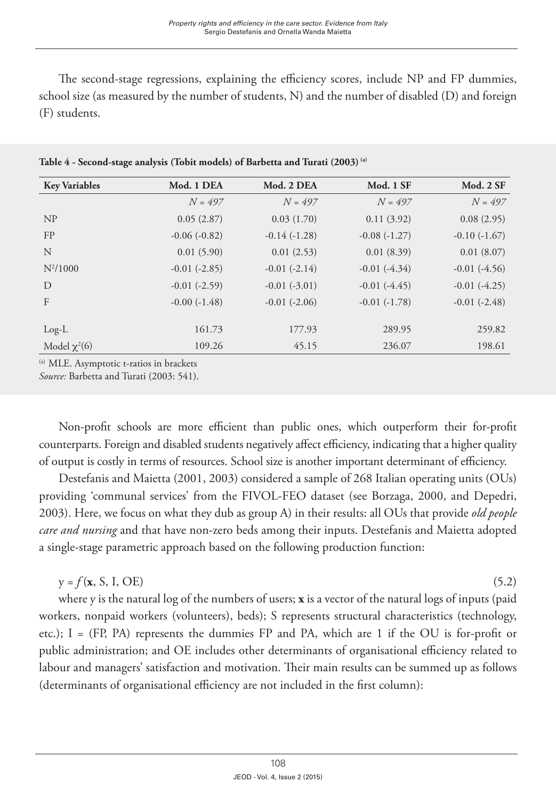The second-stage regressions, explaining the efficiency scores, include NP and FP dummies, school size (as measured by the number of students, N) and the number of disabled (D) and foreign (F) students.

| <b>Key Variables</b> | Mod. 1 DEA        | Mod. 2 DEA        | Mod. 1 SF      | Mod. 2 SF      |
|----------------------|-------------------|-------------------|----------------|----------------|
|                      | $N = 497$         | $N = 497$         | $N = 497$      | $N = 497$      |
| NP                   | 0.05(2.87)        | 0.03(1.70)        | 0.11(3.92)     | 0.08(2.95)     |
| FP                   | $-0.06(-0.82)$    | $-0.14(-1.28)$    | $-0.08(-1.27)$ | $-0.10(-1.67)$ |
| N                    | 0.01(5.90)        | 0.01(2.53)        | 0.01(8.39)     | 0.01(8.07)     |
| $N^2/1000$           | $-0.01$ $(-2.85)$ | $-0.01(-2.14)$    | $-0.01(-4.34)$ | $-0.01(-4.56)$ |
| D                    | $-0.01$ $(-2.59)$ | $-0.01(-3.01)$    | $-0.01(-4.45)$ | $-0.01(-4.25)$ |
| F                    | $-0.00(-1.48)$    | $-0.01$ $(-2.06)$ | $-0.01(-1.78)$ | $-0.01(-2.48)$ |
|                      |                   |                   |                |                |
| $Log-L$              | 161.73            | 177.93            | 289.95         | 259.82         |
| Model $\chi^2(6)$    | 109.26            | 45.15             | 236.07         | 198.61         |
|                      |                   |                   |                |                |

**Table 4 - Second-stage analysis (Tobit models) of Barbetta and Turati (2003) (a)**

(a) MLE. Asymptotic t-ratios in brackets

*Source:* Barbetta and Turati (2003: 541).

Non-profit schools are more efficient than public ones, which outperform their for-profit counterparts. Foreign and disabled students negatively affect efficiency, indicating that a higher quality of output is costly in terms of resources. School size is another important determinant of efficiency.

Destefanis and Maietta (2001, 2003) considered a sample of 268 Italian operating units (OUs) providing 'communal services' from the FIVOL-FEO dataset (see Borzaga, 2000, and Depedri, 2003). Here, we focus on what they dub as group A) in their results: all OUs that provide *old people care and nursing* and that have non-zero beds among their inputs. Destefanis and Maietta adopted a single-stage parametric approach based on the following production function:

 $y = f(x, S, I, OE)$  (5.2)

where y is the natural log of the numbers of users; **x** is a vector of the natural logs of inputs (paid workers, nonpaid workers (volunteers), beds); S represents structural characteristics (technology, etc.); I = (FP, PA) represents the dummies FP and PA, which are 1 if the OU is for-profit or public administration; and OE includes other determinants of organisational efficiency related to labour and managers' satisfaction and motivation. Their main results can be summed up as follows (determinants of organisational efficiency are not included in the first column):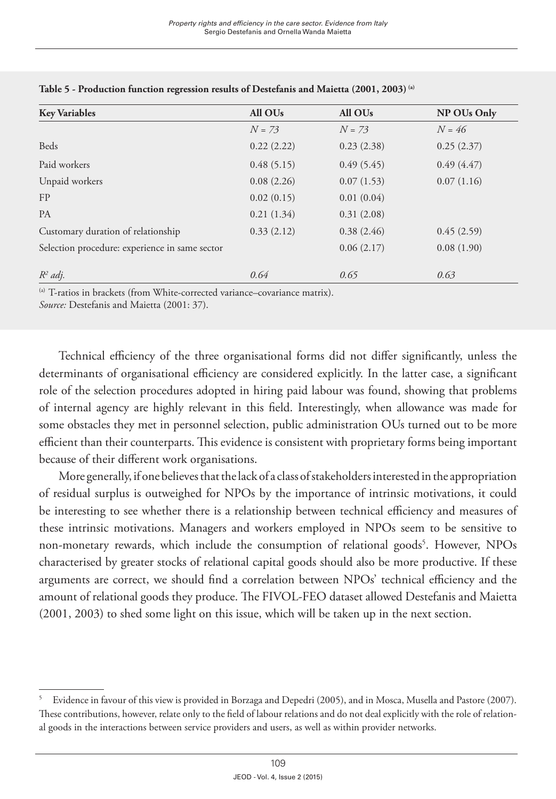| <b>Key Variables</b>                           | All OU <sub>s</sub> | All OU <sub>s</sub> | NP OUs Only |
|------------------------------------------------|---------------------|---------------------|-------------|
|                                                | $N = 73$            | $N = 73$            | $N = 46$    |
| <b>Beds</b>                                    | 0.22(2.22)          | 0.23(2.38)          | 0.25(2.37)  |
| Paid workers                                   | 0.48(5.15)          | 0.49(5.45)          | 0.49(4.47)  |
| Unpaid workers                                 | 0.08(2.26)          | 0.07(1.53)          | 0.07(1.16)  |
| FP                                             | 0.02(0.15)          | 0.01(0.04)          |             |
| <b>PA</b>                                      | 0.21(1.34)          | 0.31(2.08)          |             |
| Customary duration of relationship             | 0.33(2.12)          | 0.38(2.46)          | 0.45(2.59)  |
| Selection procedure: experience in same sector |                     | 0.06(2.17)          | 0.08(1.90)  |
| $R^2$ adj.                                     | 0.64                | 0.65                | 0.63        |

#### **Table 5 - Production function regression results of Destefanis and Maietta (2001, 2003) (a)**

<sup>(a)</sup> T-ratios in brackets (from White-corrected variance–covariance matrix).

*Source:* Destefanis and Maietta (2001: 37).

Technical efficiency of the three organisational forms did not differ significantly, unless the determinants of organisational efficiency are considered explicitly. In the latter case, a significant role of the selection procedures adopted in hiring paid labour was found, showing that problems of internal agency are highly relevant in this field. Interestingly, when allowance was made for some obstacles they met in personnel selection, public administration OUs turned out to be more efficient than their counterparts. This evidence is consistent with proprietary forms being important because of their different work organisations.

More generally, if one believes that the lack of a class of stakeholders interested in the appropriation of residual surplus is outweighed for NPOs by the importance of intrinsic motivations, it could be interesting to see whether there is a relationship between technical efficiency and measures of these intrinsic motivations. Managers and workers employed in NPOs seem to be sensitive to non-monetary rewards, which include the consumption of relational goods<sup>5</sup>. However, NPOs characterised by greater stocks of relational capital goods should also be more productive. If these arguments are correct, we should find a correlation between NPOs' technical efficiency and the amount of relational goods they produce. The FIVOL-FEO dataset allowed Destefanis and Maietta (2001, 2003) to shed some light on this issue, which will be taken up in the next section.

<sup>5</sup> Evidence in favour of this view is provided in Borzaga and Depedri (2005), and in Mosca, Musella and Pastore (2007). These contributions, however, relate only to the field of labour relations and do not deal explicitly with the role of relational goods in the interactions between service providers and users, as well as within provider networks.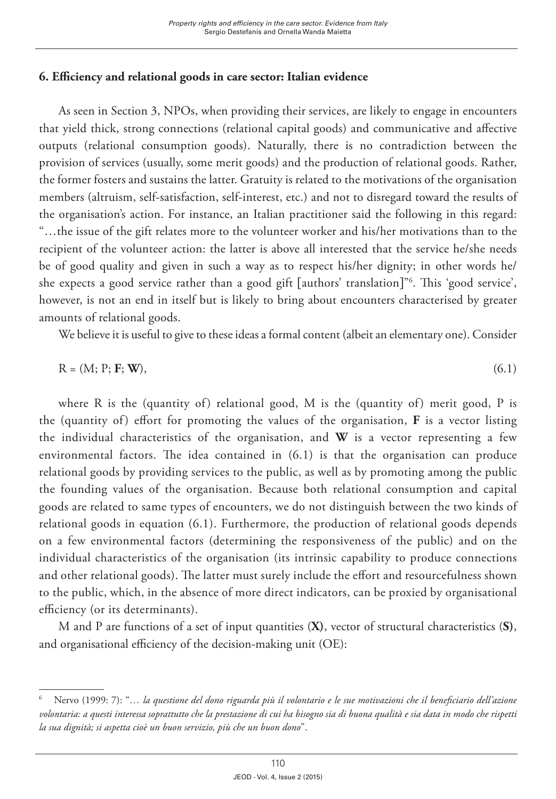# **6. Efficiency and relational goods in care sector: Italian evidence**

As seen in Section 3, NPOs, when providing their services, are likely to engage in encounters that yield thick, strong connections (relational capital goods) and communicative and affective outputs (relational consumption goods). Naturally, there is no contradiction between the provision of services (usually, some merit goods) and the production of relational goods. Rather, the former fosters and sustains the latter. Gratuity is related to the motivations of the organisation members (altruism, self-satisfaction, self-interest, etc.) and not to disregard toward the results of the organisation's action. For instance, an Italian practitioner said the following in this regard: "…the issue of the gift relates more to the volunteer worker and his/her motivations than to the recipient of the volunteer action: the latter is above all interested that the service he/she needs be of good quality and given in such a way as to respect his/her dignity; in other words he/ she expects a good service rather than a good gift [authors' translation]"6 . This 'good service', however, is not an end in itself but is likely to bring about encounters characterised by greater amounts of relational goods.

We believe it is useful to give to these ideas a formal content (albeit an elementary one). Consider

$$
R = (M; P; \mathbf{F}; \mathbf{W}),\tag{6.1}
$$

where R is the (quantity of) relational good, M is the (quantity of) merit good, P is the (quantity of) effort for promoting the values of the organisation, **F** is a vector listing the individual characteristics of the organisation, and **W** is a vector representing a few environmental factors. The idea contained in (6.1) is that the organisation can produce relational goods by providing services to the public, as well as by promoting among the public the founding values of the organisation. Because both relational consumption and capital goods are related to same types of encounters, we do not distinguish between the two kinds of relational goods in equation (6.1). Furthermore, the production of relational goods depends on a few environmental factors (determining the responsiveness of the public) and on the individual characteristics of the organisation (its intrinsic capability to produce connections and other relational goods). The latter must surely include the effort and resourcefulness shown to the public, which, in the absence of more direct indicators, can be proxied by organisational efficiency (or its determinants).

M and P are functions of a set of input quantities (**X)**, vector of structural characteristics (**S)**, and organisational efficiency of the decision-making unit (OE):

<sup>6</sup> Nervo (1999: 7): "*… la questione del dono riguarda più il volontario e le sue motivazioni che il beneficiario dell'azione volontaria: a questi interessa soprattutto che la prestazione di cui ha bisogno sia di buona qualità e sia data in modo che rispetti la sua dignità; si aspetta cioè un buon servizio, più che un buon dono*".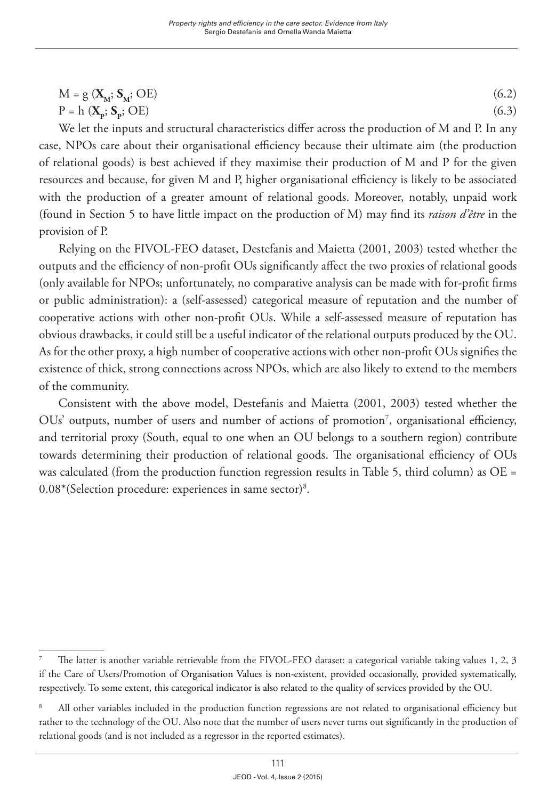$$
M = g\left(\mathbf{X}_{\mathbf{M}}; \mathbf{S}_{\mathbf{M}}; \mathbf{OE}\right) \tag{6.2}
$$

$$
P = h(X_p; S_p; OE) \tag{6.3}
$$

We let the inputs and structural characteristics differ across the production of M and P. In any case, NPOs care about their organisational efficiency because their ultimate aim (the production of relational goods) is best achieved if they maximise their production of M and P for the given resources and because, for given M and P, higher organisational efficiency is likely to be associated with the production of a greater amount of relational goods. Moreover, notably, unpaid work (found in Section 5 to have little impact on the production of M) may find its *raison d'être* in the provision of P.

Relying on the FIVOL-FEO dataset, Destefanis and Maietta (2001, 2003) tested whether the outputs and the efficiency of non-profit OUs significantly affect the two proxies of relational goods (only available for NPOs; unfortunately, no comparative analysis can be made with for-profit firms or public administration): a (self-assessed) categorical measure of reputation and the number of cooperative actions with other non-profit OUs. While a self-assessed measure of reputation has obvious drawbacks, it could still be a useful indicator of the relational outputs produced by the OU. As for the other proxy, a high number of cooperative actions with other non-profit OUs signifies the existence of thick, strong connections across NPOs, which are also likely to extend to the members of the community.

Consistent with the above model, Destefanis and Maietta (2001, 2003) tested whether the OUs' outputs, number of users and number of actions of promotion<sup>7</sup>, organisational efficiency, and territorial proxy (South, equal to one when an OU belongs to a southern region) contribute towards determining their production of relational goods. The organisational efficiency of OUs was calculated (from the production function regression results in Table 5, third column) as  $OE =$ 0.08\*(Selection procedure: experiences in same sector)8 .

<sup>7</sup> The latter is another variable retrievable from the FIVOL-FEO dataset: a categorical variable taking values 1, 2, 3 if the Care of Users/Promotion of Organisation Values is non-existent, provided occasionally, provided systematically, respectively. To some extent, this categorical indicator is also related to the quality of services provided by the OU.

<sup>8</sup> All other variables included in the production function regressions are not related to organisational efficiency but rather to the technology of the OU. Also note that the number of users never turns out significantly in the production of relational goods (and is not included as a regressor in the reported estimates).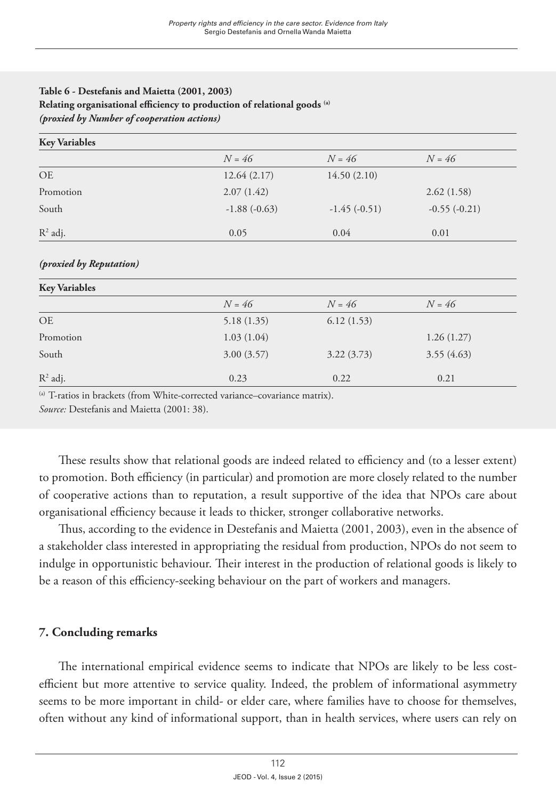### **Table 6 - Destefanis and Maietta (2001, 2003) Relating organisational efficiency to production of relational goods (a)** *(proxied by Number of cooperation actions)*

| <b>Key Variables</b> |                |                |                |
|----------------------|----------------|----------------|----------------|
|                      | $N = 46$       | $N = 46$       | $N = 46$       |
| <b>OE</b>            | 12.64(2.17)    | 14.50(2.10)    |                |
| Promotion            | 2.07(1.42)     |                | 2.62(1.58)     |
| South                | $-1.88(-0.63)$ | $-1.45(-0.51)$ | $-0.55(-0.21)$ |
| $R^2$ adj.           | 0.05           | 0.04           | 0.01           |

#### *(proxied by Reputation)*

| <b>Key Variables</b> |            |            |            |  |
|----------------------|------------|------------|------------|--|
|                      | $N = 46$   | $N = 46$   | $N = 46$   |  |
| <b>OE</b>            | 5.18(1.35) | 6.12(1.53) |            |  |
| Promotion            | 1.03(1.04) |            | 1.26(1.27) |  |
| South                | 3.00(3.57) | 3.22(3.73) | 3.55(4.63) |  |
| $R^2$ adj.           | 0.23       | 0.22       | 0.21       |  |

<sup>(a)</sup> T-ratios in brackets (from White-corrected variance–covariance matrix).

*Source:* Destefanis and Maietta (2001: 38).

These results show that relational goods are indeed related to efficiency and (to a lesser extent) to promotion. Both efficiency (in particular) and promotion are more closely related to the number of cooperative actions than to reputation, a result supportive of the idea that NPOs care about organisational efficiency because it leads to thicker, stronger collaborative networks.

Thus, according to the evidence in Destefanis and Maietta (2001, 2003), even in the absence of a stakeholder class interested in appropriating the residual from production, NPOs do not seem to indulge in opportunistic behaviour. Their interest in the production of relational goods is likely to be a reason of this efficiency-seeking behaviour on the part of workers and managers.

# **7. Concluding remarks**

The international empirical evidence seems to indicate that NPOs are likely to be less costefficient but more attentive to service quality. Indeed, the problem of informational asymmetry seems to be more important in child- or elder care, where families have to choose for themselves, often without any kind of informational support, than in health services, where users can rely on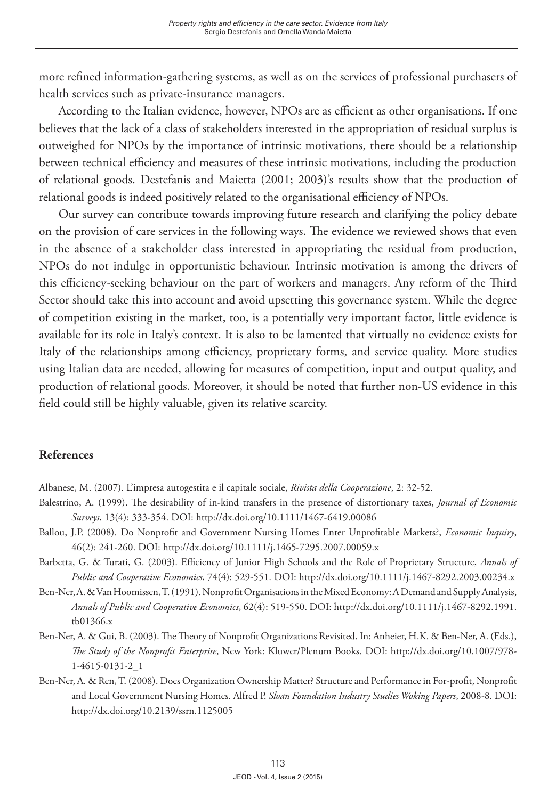more refined information-gathering systems, as well as on the services of professional purchasers of health services such as private-insurance managers.

According to the Italian evidence, however, NPOs are as efficient as other organisations. If one believes that the lack of a class of stakeholders interested in the appropriation of residual surplus is outweighed for NPOs by the importance of intrinsic motivations, there should be a relationship between technical efficiency and measures of these intrinsic motivations, including the production of relational goods. Destefanis and Maietta (2001; 2003)'s results show that the production of relational goods is indeed positively related to the organisational efficiency of NPOs.

Our survey can contribute towards improving future research and clarifying the policy debate on the provision of care services in the following ways. The evidence we reviewed shows that even in the absence of a stakeholder class interested in appropriating the residual from production, NPOs do not indulge in opportunistic behaviour. Intrinsic motivation is among the drivers of this efficiency-seeking behaviour on the part of workers and managers. Any reform of the Third Sector should take this into account and avoid upsetting this governance system. While the degree of competition existing in the market, too, is a potentially very important factor, little evidence is available for its role in Italy's context. It is also to be lamented that virtually no evidence exists for Italy of the relationships among efficiency, proprietary forms, and service quality. More studies using Italian data are needed, allowing for measures of competition, input and output quality, and production of relational goods. Moreover, it should be noted that further non-US evidence in this field could still be highly valuable, given its relative scarcity.

## **References**

Albanese, M. (2007). L'impresa autogestita e il capitale sociale, *Rivista della Cooperazione*, 2: 32-52.

- Balestrino, A. (1999). The desirability of in-kind transfers in the presence of distortionary taxes, *Journal of Economic Surveys*, 13(4): 333-354. DOI:<http://dx.doi.org/10.1111/1467-6419.00086>
- Ballou, J.P. (2008). Do Nonprofit and Government Nursing Homes Enter Unprofitable Markets?, *Economic Inquiry*, 46(2): 241-260. DOI:<http://dx.doi.org/10.1111/j.1465-7295.2007.00059.x>
- Barbetta, G. & Turati, G. (2003). Efficiency of Junior High Schools and the Role of Proprietary Structure, *Annals of Public and Cooperative Economics*, 74(4): 529-551. DOI: <http://dx.doi.org/10.1111/j.1467-8292.2003.00234.x>
- Ben-Ner, A. & Van Hoomissen, T. (1991). Nonprofit Organisations in the Mixed Economy: A Demand and Supply Analysis, *Annals of Public and Cooperative Economics*, 62(4): 519-550. DOI: [http://dx.doi.org/10.1111/j.1467-8292.1991.](http://dx.doi.org/10.1111/j.1467-8292.1991.tb01366.x) [tb01366.x](http://dx.doi.org/10.1111/j.1467-8292.1991.tb01366.x)
- Ben-Ner, A. & Gui, B. (2003). The Theory of Nonprofit Organizations Revisited. In: Anheier, H.K. & Ben-Ner, A. (Eds.), *The Study of the Nonprofit Enterprise*, New York: Kluwer/Plenum Books. DOI: [http://dx.doi.org/10.1007/978-](http://dx.doi.org/10.1007/978-1-4615-0131-2_1) [1-4615-0131-2\\_1](http://dx.doi.org/10.1007/978-1-4615-0131-2_1)
- Ben-Ner, A. & Ren, T. (2008). Does Organization Ownership Matter? Structure and Performance in For-profit, Nonprofit and Local Government Nursing Homes. Alfred P. *Sloan Foundation Industry Studies Woking Papers*, 2008-8. DOI: <http://dx.doi.org/10.2139/ssrn.1125005>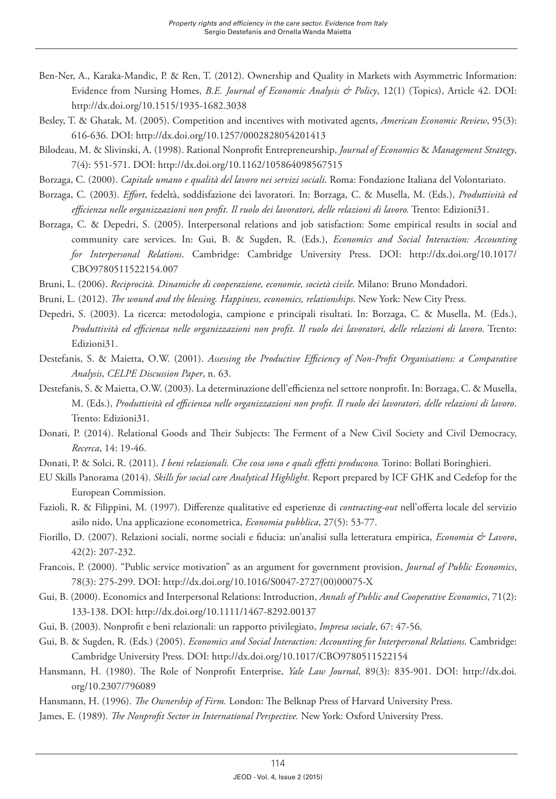- Ben-Ner, A., Karaka-Mandic, P. & Ren, T. (2012). Ownership and Quality in Markets with Asymmetric Information: Evidence from Nursing Homes, *B.E. Journal of Economic Analysis & Policy*, 12(1) (Topics), Article 42. DOI: <http://dx.doi.org/10.1515/1935-1682.3038>
- Besley, T. & Ghatak, M. (2005). Competition and incentives with motivated agents, *American Economic Review*, 95(3): 616-636. DOI:<http://dx.doi.org/10.1257/0002828054201413>
- Bilodeau, M. & Slivinski, A. (1998). Rational Nonprofit Entrepreneurship, *Journal of Economics* & *Management Strategy*, 7(4): 551-571. DOI: <http://dx.doi.org/10.1162/105864098567515>
- Borzaga, C. (2000). *Capitale umano e qualità del lavoro nei servizi sociali*. Roma: Fondazione Italiana del Volontariato.
- Borzaga, C. (2003). *Effort*, fedeltà, soddisfazione dei lavoratori. In: Borzaga, C. & Musella, M. (Eds.), *Produttività ed efficienza nelle organizzazioni non profit. Il ruolo dei lavoratori, delle relazioni di lavoro.* Trento: Edizioni31.
- Borzaga, C. & Depedri, S. (2005). Interpersonal relations and job satisfaction: Some empirical results in social and community care services. In: Gui, B. & Sugden, R. (Eds.), *Economics and Social Interaction: Accounting for Interpersonal Relations*. Cambridge: Cambridge University Press. DOI: [http://dx.doi.org/10.1017/](http://dx.doi.org/10.1017/CBO9780511522154.007) [CBO9780511522154.007](http://dx.doi.org/10.1017/CBO9780511522154.007)
- Bruni, L. (2006). *Reciprocità. Dinamiche di cooperazione, economie, società civile*. Milano: Bruno Mondadori.
- Bruni, L. (2012). *The wound and the blessing. Happiness, economics, relationships*. New York: New City Press.
- Depedri, S. (2003). La ricerca: metodologia, campione e principali risultati. In: Borzaga, C. & Musella, M. (Eds.), *Produttività ed efficienza nelle organizzazioni non profit. Il ruolo dei lavoratori, delle relazioni di lavoro*. Trento: Edizioni31.
- Destefanis, S. & Maietta, O.W. (2001). *Assessing the Productive Efficiency of Non-Profit Organisations: a Comparative Analysis*, *CELPE Discussion Paper*, n. 63.
- Destefanis, S. & Maietta, O.W. (2003). La determinazione dell'efficienza nel settore nonprofit. In: Borzaga, C. & Musella, M. (Eds.), *Produttività ed efficienza nelle organizzazioni non profit. Il ruolo dei lavoratori, delle relazioni di lavoro*. Trento: Edizioni31.
- Donati, P. (2014). Relational Goods and Their Subjects: The Ferment of a New Civil Society and Civil Democracy, *Recerca*, 14: 19-46.
- Donati, P. & Solci, R. (2011). *I beni relazionali. Che cosa sono e quali effetti producono.* Torino: Bollati Boringhieri.
- EU Skills Panorama (2014). *Skills for social care Analytical Highlight*. Report prepared by ICF GHK and Cedefop for the European Commission.
- Fazioli, R. & Filippini, M. (1997). Differenze qualitative ed esperienze di *contracting-out* nell'offerta locale del servizio asilo nido, Una applicazione econometrica, *Economia pubblica*, 27(5): 53-77.
- Fiorillo, D. (2007). Relazioni sociali, norme sociali e fiducia: un'analisi sulla letteratura empirica, *Economia & Lavoro*, 42(2): 207-232.
- Francois, P. (2000). "Public service motivation" as an argument for government provision, *Journal of Public Economics*, 78(3): 275-299. DOI: [http://dx.doi.org/10.1016/S0047-2727\(00\)00075-X](http://dx.doi.org/10.1016/S0047-2727(00)00075-X)
- Gui, B. (2000). Economics and Interpersonal Relations: Introduction, *Annals of Public and Cooperative Economics*, 71(2): 133-138. DOI:<http://dx.doi.org/10.1111/1467-8292.00137>
- Gui, B. (2003). Nonprofit e beni relazionali: un rapporto privilegiato, *Impresa sociale*, 67: 47-56.
- Gui, B. & Sugden, R. (Eds.) (2005). *Economics and Social Interaction: Accounting for Interpersonal Relations*. Cambridge: Cambridge University Press. DOI: <http://dx.doi.org/10.1017/CBO9780511522154>
- Hansmann, H. (1980). The Role of Nonprofit Enterprise, *Yale Law Journal*, 89(3): 835-901. DOI: [http://dx.doi.](http://dx.doi.org/10.2307/796089) [org/10.2307/796089](http://dx.doi.org/10.2307/796089)
- Hansmann, H. (1996). *The Ownership of Firm.* London: The Belknap Press of Harvard University Press.
- James, E. (1989). *The Nonprofit Sector in International Perspective.* New York: Oxford University Press.